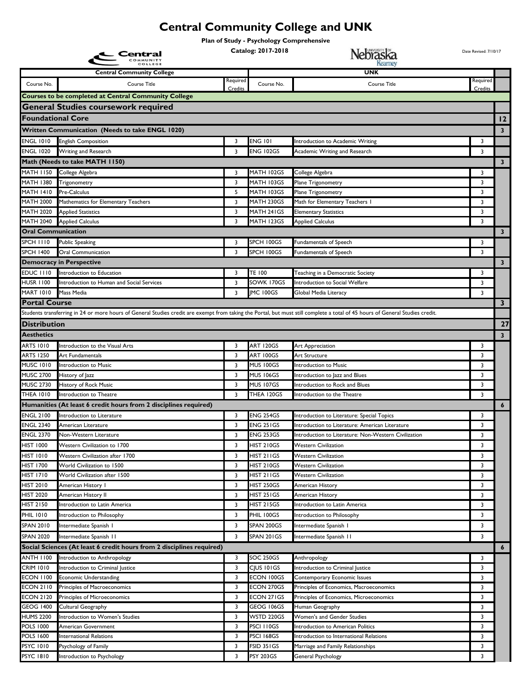## **Central Community College and UNK**

**Plan of Study - Psychology Comprehensive**

|                                      | Central                                                                                                                                                                       |          | Catalog: 2017-2018              | Nebraska                                                       | Date Revised: 7/10/17 |                  |
|--------------------------------------|-------------------------------------------------------------------------------------------------------------------------------------------------------------------------------|----------|---------------------------------|----------------------------------------------------------------|-----------------------|------------------|
|                                      |                                                                                                                                                                               |          |                                 |                                                                |                       |                  |
|                                      | <b>Central Community College</b>                                                                                                                                              | Required |                                 | UNK                                                            | Required              |                  |
| Course No.                           | Course Title                                                                                                                                                                  | Credits  | Course No.                      | Course Title                                                   | Credits               |                  |
|                                      | <b>Courses to be completed at Central Community College</b>                                                                                                                   |          |                                 |                                                                |                       |                  |
|                                      | General Studies coursework required                                                                                                                                           |          |                                 |                                                                |                       |                  |
| <b>Foundational Core</b>             |                                                                                                                                                                               |          |                                 |                                                                |                       | 12               |
|                                      | Written Communication (Needs to take ENGL 1020)                                                                                                                               |          |                                 |                                                                |                       | 3                |
| <b>ENGL 1010</b>                     | <b>English Composition</b>                                                                                                                                                    | 3        | <b>ENG 101</b>                  | Introduction to Academic Writing                               | 3                     |                  |
| <b>ENGL 1020</b>                     | Writing and Research                                                                                                                                                          | 3        | <b>ENG 102GS</b>                | Academic Writing and Research                                  | 3                     |                  |
|                                      | Math (Needs to take MATH 1150)                                                                                                                                                |          |                                 |                                                                |                       | 3                |
| <b>MATH 1150</b>                     | College Algebra                                                                                                                                                               | 3        | MATH 102GS                      | College Algebra                                                | 3                     |                  |
| <b>MATH 1380</b>                     | Trigonometry                                                                                                                                                                  | 3        | MATH 103GS                      | Plane Trigonometry                                             | 3                     |                  |
| MATH 1410                            | Pre-Calculus                                                                                                                                                                  | 5        | MATH 103GS                      | Plane Trigonometry                                             | 3                     |                  |
| <b>MATH 2000</b><br><b>MATH 2020</b> | Mathematics for Elementary Teachers<br><b>Applied Statistics</b>                                                                                                              | 3<br>3   | MATH 230GS<br>MATH 241GS        | Math for Elementary Teachers I<br><b>Elementary Statistics</b> | 3<br>3                |                  |
| <b>MATH 2040</b>                     | <b>Applied Calculus</b>                                                                                                                                                       | 3        | MATH 123GS                      | <b>Applied Calculus</b>                                        | 3                     |                  |
| <b>Oral Communication</b>            |                                                                                                                                                                               |          |                                 |                                                                |                       | $\mathbf{3}$     |
| <b>SPCH 1110</b>                     | <b>Public Speaking</b>                                                                                                                                                        | 3        | SPCH 100GS                      | <b>Fundamentals of Speech</b>                                  | 3                     |                  |
| <b>SPCH 1400</b>                     | <b>Oral Communication</b>                                                                                                                                                     | 3        | SPCH 100GS                      | Fundamentals of Speech                                         | 3                     |                  |
|                                      | <b>Democracy in Perspective</b>                                                                                                                                               |          |                                 |                                                                |                       | $\mathbf{3}$     |
| EDUC III0                            | Introduction to Education                                                                                                                                                     | 3        | TE 100                          | Teaching in a Democratic Society                               | 3                     |                  |
| <b>HUSR 1100</b>                     | Introduction to Human and Social Services                                                                                                                                     | 3        | SOWK 170GS                      | Introduction to Social Welfare                                 | 3                     |                  |
| <b>MART 1010</b>                     | Mass Media                                                                                                                                                                    | 3        | <b>IMC 100GS</b>                | Global Media Literacy                                          | 3                     |                  |
| <b>Portal Course</b>                 |                                                                                                                                                                               |          |                                 |                                                                |                       | 3                |
|                                      | Students transferring in 24 or more hours of General Studies credit are exempt from taking the Portal, but must still complete a total of 45 hours of General Studies credit. |          |                                 |                                                                |                       |                  |
| <b>Distribution</b>                  |                                                                                                                                                                               |          |                                 |                                                                |                       | 27               |
| <b>Aesthetics</b>                    |                                                                                                                                                                               |          |                                 |                                                                |                       | 3                |
| ARTS 1010                            | Introduction to the Visual Arts                                                                                                                                               | 3        | <b>ART 120GS</b>                | Art Appreciation                                               | 3                     |                  |
| <b>ARTS 1250</b>                     | Art Fundamentals                                                                                                                                                              | 3        | ART 100GS                       | Art Structure                                                  | 3                     |                  |
| <b>MUSC 1010</b>                     | Introduction to Music                                                                                                                                                         | 3        | <b>MUS 100GS</b>                | Introduction to Music                                          | 3                     |                  |
| <b>MUSC 2700</b>                     | History of Jazz                                                                                                                                                               | 3        | <b>MUS 106GS</b>                | Introduction to Jazz and Blues                                 | 3                     |                  |
| <b>MUSC 2730</b>                     | History of Rock Music                                                                                                                                                         | 3        | <b>MUS 107GS</b>                | Introduction to Rock and Blues                                 | 3                     |                  |
| <b>THEA 1010</b>                     | Introduction to Theatre                                                                                                                                                       | 3        | THEA 120GS                      | Introduction to the Theatre                                    | 3                     |                  |
|                                      | Humanities (At least 6 credit hours from 2 disciplines required)                                                                                                              |          |                                 |                                                                |                       | $\boldsymbol{6}$ |
| <b>ENGL 2100</b>                     | Introduction to Literature                                                                                                                                                    | 3        | <b>ENG 254GS</b>                | Introduction to Literature: Special Topics                     | 3                     |                  |
| <b>ENGL 2340</b>                     | American Literature                                                                                                                                                           | 3        | <b>ENG 251GS</b>                | Introduction to Literature: American Literature                | 3                     |                  |
| <b>ENGL 2370</b>                     | Non-Western Literature                                                                                                                                                        | 3        | <b>ENG 253GS</b>                | Introduction to Literature: Non-Western Civilization           | 3                     |                  |
| <b>HIST 1000</b>                     | Western Civilization to 1700                                                                                                                                                  | 3        | <b>HIST 210GS</b>               | <b>Western Civilization</b>                                    | 3                     |                  |
| <b>HIST 1010</b>                     | Western Civilization after 1700                                                                                                                                               | 3        | HIST 211GS                      | <b>Western Civilization</b>                                    | 3                     |                  |
| <b>HIST 1700</b><br><b>HIST 1710</b> | World Civilization to 1500<br>World Civilization after 1500                                                                                                                   | 3<br>3   | <b>HIST 210GS</b>               | <b>Western Civilization</b>                                    | 3<br>3                |                  |
| <b>HIST 2010</b>                     | American History I                                                                                                                                                            | 3        | HIST 211GS<br><b>HIST 250GS</b> | <b>Western Civilization</b><br>American History                | 3                     |                  |
| <b>HIST 2020</b>                     | American History II                                                                                                                                                           | 3        | <b>HIST 251GS</b>               | American History                                               | 3                     |                  |
| <b>HIST 2150</b>                     | Introduction to Latin America                                                                                                                                                 | 3        | <b>HIST 215GS</b>               | Introduction to Latin America                                  | 3                     |                  |
| <b>PHIL 1010</b>                     | Introduction to Philosophy                                                                                                                                                    | 3        | PHIL 100GS                      | Introduction to Philosophy                                     | 3                     |                  |
| SPAN 2010                            | Intermediate Spanish I                                                                                                                                                        | 3        | SPAN 200GS                      | Intermediate Spanish I                                         | 3                     |                  |
| <b>SPAN 2020</b>                     | Intermediate Spanish II                                                                                                                                                       | 3        | SPAN 201GS                      | Intermediate Spanish II                                        | 3                     |                  |
|                                      | Social Sciences (At least 6 credit hours from 2 disciplines required)                                                                                                         |          |                                 |                                                                |                       | 6                |
| ANTH 1100                            | Introduction to Anthropology                                                                                                                                                  | 3        | <b>SOC 250GS</b>                | Anthropology                                                   | 3                     |                  |
| <b>CRIM 1010</b>                     | Introduction to Criminal Justice                                                                                                                                              | 3        | CJUS 101GS                      | Introduction to Criminal Justice                               | 3                     |                  |
| <b>ECON 1100</b>                     | <b>Economic Understanding</b>                                                                                                                                                 | 3        | ECON 100GS                      | Contemporary Economic Issues                                   | 3                     |                  |
| <b>ECON 2110</b>                     | Principles of Macroeconomics                                                                                                                                                  | 3        | ECON 270GS                      | Principles of Economics, Macroeconomics                        | 3                     |                  |
| <b>ECON 2120</b>                     | Principles of Microeconomics                                                                                                                                                  | 3        | ECON 271GS                      | Principles of Economics, Microeconomics                        | 3                     |                  |
| GEOG 1400                            | Cultural Geography                                                                                                                                                            | 3        | GEOG 106GS                      | Human Geography                                                | 3                     |                  |
| <b>HUMS 2200</b>                     | Introduction to Women's Studies                                                                                                                                               | 3        | WSTD 220GS                      | Women's and Gender Studies                                     | 3                     |                  |
| <b>POLS 1000</b>                     | American Government                                                                                                                                                           | 3        | PSCI I IOGS                     | Introduction to American Politics                              | 3                     |                  |
| <b>POLS 1600</b>                     | International Relations                                                                                                                                                       | 3        | <b>PSCI 168GS</b>               | Introduction to International Relations                        | 3                     |                  |
| PSYC 1010                            | Psychology of Family                                                                                                                                                          | 3        | <b>FSID 351GS</b>               | Marriage and Family Relationships                              | 3                     |                  |
| <b>PSYC 1810</b>                     | Introduction to Psychology                                                                                                                                                    | 3        | <b>PSY 203GS</b>                | General Psychology                                             | 3                     |                  |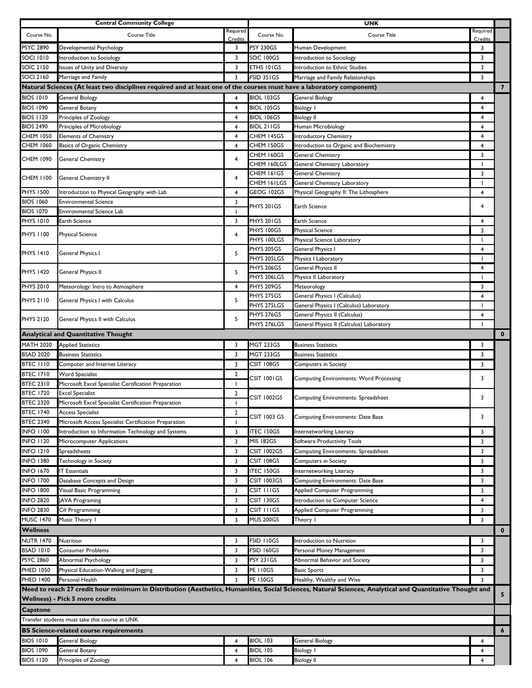|                                                                   | <b>Central Community College</b>                                                                                      |                |                     | <b>UNK</b>                                                                                                                                               |                          |                |  |
|-------------------------------------------------------------------|-----------------------------------------------------------------------------------------------------------------------|----------------|---------------------|----------------------------------------------------------------------------------------------------------------------------------------------------------|--------------------------|----------------|--|
| Course No.                                                        | Course Title                                                                                                          | Required       | Course No.          | <b>Course Title</b>                                                                                                                                      | Required                 |                |  |
|                                                                   |                                                                                                                       | Credits        |                     |                                                                                                                                                          | Credits                  |                |  |
| <b>PSYC 2890</b>                                                  | Developmental Psychology                                                                                              | 3              | <b>PSY 230GS</b>    | Human Development                                                                                                                                        | 3                        |                |  |
| <b>SOCI 1010</b>                                                  | Introduction to Sociology                                                                                             | 3              | SOC 100GS           | Introduction to Sociology                                                                                                                                | 3                        |                |  |
| <b>SOIC 2150</b>                                                  | Issues of Unity and Diversity                                                                                         | 3              | ETHS 101GS          | Introduction to Ethnic Studies                                                                                                                           | 3                        |                |  |
| <b>SOCI 2160</b>                                                  | Marriage and Family                                                                                                   | 3              | FSID 351GS          | Marriage and Family Relationships                                                                                                                        | 3                        |                |  |
|                                                                   | Natural Sciences (At least two disciplines required and at least one of the courses must have a laboratory component) |                |                     |                                                                                                                                                          |                          | $\overline{7}$ |  |
| <b>BIOS 1010</b>                                                  | General Biology                                                                                                       | 4              | BIOL 103GS          | General Biology                                                                                                                                          | 4                        |                |  |
| <b>BIOS 1090</b>                                                  | General Botany                                                                                                        | $\overline{4}$ | <b>BIOL 105GS</b>   | <b>Biology I</b>                                                                                                                                         | 4                        |                |  |
| <b>BIOS 1120</b>                                                  | Principles of Zoology                                                                                                 | 4              | <b>BIOL 106GS</b>   | <b>Biology II</b>                                                                                                                                        | 4                        |                |  |
| <b>BIOS 2490</b>                                                  | Principles of Microbiology                                                                                            | 4              | BIOL 211GS          | Human Microbiology                                                                                                                                       | 4                        |                |  |
| <b>CHEM 1050</b>                                                  | <b>Elements of Chemistry</b>                                                                                          | $\overline{4}$ | CHEM 145GS          | <b>Introductory Chemistry</b>                                                                                                                            | 4                        |                |  |
| <b>CHEM 1060</b>                                                  | Basics of Organic Chemistry                                                                                           | $\overline{4}$ | CHEM 150GS          | Introduction to Organic and Biochemistry                                                                                                                 | 4                        |                |  |
| CHEM 1090                                                         | <b>General Chemistry</b>                                                                                              | 4              | CHEM 160GS          | General Chemistry                                                                                                                                        | 3                        |                |  |
|                                                                   |                                                                                                                       |                | CHEM 160LGS         | General Chemistry Laboratory                                                                                                                             | $\overline{\phantom{a}}$ |                |  |
| CHEM 1100                                                         | General Chemistry II                                                                                                  | 4              | CHEM 161GS          | <b>General Chemistry</b>                                                                                                                                 | 3                        |                |  |
|                                                                   |                                                                                                                       |                | CHEM 161LGS         | General Chemistry Laboratory                                                                                                                             | $\mathbf{I}$             |                |  |
| <b>PHYS 1500</b>                                                  | Introduction to Physical Geography with Lab                                                                           | $\overline{4}$ | GEOG 102GS          | Physical Geography II: The Lithosphere                                                                                                                   | 4                        |                |  |
| <b>BIOS 1060</b>                                                  | <b>Environmental Science</b>                                                                                          | 3              | PHYS 201GS          | Earth Science                                                                                                                                            | 4                        |                |  |
| <b>BIOS 1070</b>                                                  | <b>Environmental Science Lab</b>                                                                                      | 1              |                     |                                                                                                                                                          |                          |                |  |
| <b>PHYS 1010</b>                                                  | Earth Science                                                                                                         | 3              | PHYS 201GS          | Earth Science                                                                                                                                            | $\overline{4}$           |                |  |
| <b>PHYS 1100</b>                                                  | <b>Physical Science</b>                                                                                               | 4              | PHYS 100GS          | <b>Physical Science</b>                                                                                                                                  | 3                        |                |  |
|                                                                   |                                                                                                                       |                | PHYS 100LGS         | Physical Science Laboratory                                                                                                                              |                          |                |  |
| <b>PHYS 1410</b>                                                  | General Physics I                                                                                                     | 5              | PHYS 205GS          | General Physics I                                                                                                                                        | $\overline{4}$           |                |  |
|                                                                   |                                                                                                                       |                | PHYS 205LGS         | Physics I Laboratory                                                                                                                                     | $\mathbf{I}$             |                |  |
| <b>PHYS 1420</b>                                                  | General Physics II                                                                                                    | 5              | PHYS 206GS          | General Physics II                                                                                                                                       | $\overline{4}$           |                |  |
|                                                                   |                                                                                                                       |                | PHYS 206LGS         | Physics II Laboratory                                                                                                                                    |                          |                |  |
| <b>PHYS 2010</b>                                                  | Meteorology: Intro to Atmosphere                                                                                      | 4              | PHYS 209GS          | Meteorology                                                                                                                                              | 3                        |                |  |
| PHYS 2110                                                         | General Physics I with Calculus                                                                                       | 5              | PHYS 275GS          | General Physics I (Calculus)                                                                                                                             | 4                        |                |  |
|                                                                   |                                                                                                                       |                | PHYS 275LGS         | General Physics I (Calculus) Laboratory                                                                                                                  | $\overline{\phantom{a}}$ |                |  |
| PHYS 2120                                                         | General Physics II with Calculus                                                                                      | 5              | PHYS 276GS          | General Physics II (Calculus)                                                                                                                            | $\overline{4}$           |                |  |
|                                                                   |                                                                                                                       |                | PHYS 276LGS         | General Physics II (Calculus) Laboratory                                                                                                                 | $\overline{\phantom{a}}$ |                |  |
|                                                                   | <b>Analytical and Quantitative Thought</b>                                                                            |                |                     |                                                                                                                                                          |                          | $\mathbf 0$    |  |
| <b>MATH 2020</b>                                                  | <b>Applied Statistics</b>                                                                                             | 3              | <b>MGT 233GS</b>    | <b>Business Statistics</b>                                                                                                                               | 3                        |                |  |
| <b>BSAD 2020</b>                                                  | <b>Business Statistics</b>                                                                                            | 3              | <b>MGT 233GS</b>    | <b>Business Statistics</b>                                                                                                                               | 3                        |                |  |
| <b>BTEC 1110</b>                                                  | Computer and Internet Literacy                                                                                        | 3              | CSIT 108GS          | Computers in Society                                                                                                                                     | 3                        |                |  |
| <b>BTEC 1710</b>                                                  | Word Specialist                                                                                                       | 2              | CSIT 1001GS         | <b>Computing Environments: Word Processing</b>                                                                                                           | 3                        |                |  |
| <b>BTEC 2310</b>                                                  | Microsoft Excel Specialist Certification Preparation                                                                  | $\mathbf{I}$   |                     |                                                                                                                                                          |                          |                |  |
| <b>BTEC 1720</b>                                                  | <b>Excel Specialist</b>                                                                                               | $\overline{2}$ | CSIT 1002GS         | Computing Environments: Spreadsheet                                                                                                                      | 3                        |                |  |
| <b>BTEC 2320</b>                                                  | Microsoft Excel Specialist Certification Preparation                                                                  | 1              |                     |                                                                                                                                                          |                          |                |  |
| <b>BTEC 1740</b>                                                  | <b>Access Specialist</b>                                                                                              | 2              | <b>CSIT 1003 GS</b> | Computing Environments: Date Base                                                                                                                        | 3                        |                |  |
| <b>BTEC 2340</b>                                                  | Microsoft Access Specialist Certification Preparation                                                                 | 1              |                     |                                                                                                                                                          |                          |                |  |
| <b>INFO 1100</b>                                                  | Introduction to Information Technology and Systems                                                                    | 3              | <b>ITEC 150GS</b>   | Internetworking Literacy                                                                                                                                 | 3                        |                |  |
| <b>INFO 1120</b>                                                  | Microcomputer Applications                                                                                            | 3              | <b>MIS 182GS</b>    | Software Productivity Tools                                                                                                                              | 3                        |                |  |
| <b>INFO 1210</b>                                                  | Spreadsheets                                                                                                          | 3              | CSIT 1002GS         | Computing Environments: Spreadsheet                                                                                                                      | 3                        |                |  |
| <b>INFO 1380</b>                                                  | Technology in Society                                                                                                 | 3              | CSIT 108GS          | <b>Computers in Society</b>                                                                                                                              | 3                        |                |  |
| <b>INFO 1670</b>                                                  | <b>IT Essentials</b>                                                                                                  | 3              | <b>ITEC 150GS</b>   | Internetworking Literacy                                                                                                                                 | 3                        |                |  |
| <b>INFO 1700</b>                                                  | Database Concepts and Design                                                                                          | 3              | CSIT 1003GS         | Computing Environments: Date Base                                                                                                                        | 3                        |                |  |
| <b>INFO 1800</b>                                                  | Visual Basic Programming                                                                                              | 3              | CSIT I I I GS       | <b>Applied Computer Programming</b>                                                                                                                      | 3                        |                |  |
| <b>INFO 2820</b>                                                  | <b>JAVA Programing</b>                                                                                                | 3              | CSIT 130GS          | Introduction to Computer Science                                                                                                                         | 4                        |                |  |
| <b>INFO 2830</b>                                                  | C# Programming                                                                                                        | 3              | CSIT I I I GS       | Applied Computer Programming                                                                                                                             | 3                        |                |  |
| <b>MUSC 1470</b>                                                  | Music Theory I                                                                                                        | 3              | <b>MUS 200GS</b>    | Theory I                                                                                                                                                 | 3                        |                |  |
| <b>Wellness</b>                                                   |                                                                                                                       |                |                     |                                                                                                                                                          |                          | $\mathbf 0$    |  |
| <b>NUTR 1470</b>                                                  | Nutrition                                                                                                             | 3              | FSID 110GS          | Introduction to Nutrition                                                                                                                                | 3                        |                |  |
| <b>BSAD 1010</b>                                                  | Consumer Problems                                                                                                     | 3              | <b>FSID 160GS</b>   | Personal Money Management                                                                                                                                | 3                        |                |  |
| <b>PSYC 2860</b>                                                  |                                                                                                                       |                | <b>PSY 231GS</b>    |                                                                                                                                                          |                          |                |  |
|                                                                   | Abnormal Psychology                                                                                                   | 3              |                     | Abnormal Behavior and Society                                                                                                                            | 3                        |                |  |
| PHED 1050                                                         | Physical Education-Walking and Jogging                                                                                | 3              | <b>PE 110GS</b>     | <b>Basic Sports</b>                                                                                                                                      | 3                        |                |  |
| <b>PHED 1400</b>                                                  | Personal Health                                                                                                       | 3              | <b>PE 150GS</b>     | Healthy, Wealthy and Wise                                                                                                                                | 3                        |                |  |
|                                                                   |                                                                                                                       |                |                     | Need to reach 27 credit hour minimum in Distribution (Aesthetics, Humanities, Social Sciences, Natural Sciences, Analytical and Quantitative Thought and |                          | 5              |  |
|                                                                   | <b>Wellness) - Pick 5 more credits</b>                                                                                |                |                     |                                                                                                                                                          |                          |                |  |
| Capstone                                                          |                                                                                                                       |                |                     |                                                                                                                                                          |                          |                |  |
|                                                                   | Transfer students must take this course at UNK                                                                        |                |                     |                                                                                                                                                          |                          |                |  |
| $\boldsymbol{6}$<br><b>BS Science-related course requirements</b> |                                                                                                                       |                |                     |                                                                                                                                                          |                          |                |  |
| <b>BIOS 1010</b>                                                  | General Biology                                                                                                       | 4              | <b>BIOL 103</b>     | General Biology                                                                                                                                          | 4                        |                |  |
| <b>BIOS 1090</b>                                                  | General Botany                                                                                                        | 4              | <b>BIOL 105</b>     | <b>Biology I</b>                                                                                                                                         | 4                        |                |  |
| <b>BIOS 1120</b>                                                  | Principles of Zoology                                                                                                 | 4              | <b>BIOL 106</b>     | <b>Biology II</b>                                                                                                                                        | 4                        |                |  |
|                                                                   |                                                                                                                       |                |                     |                                                                                                                                                          |                          |                |  |